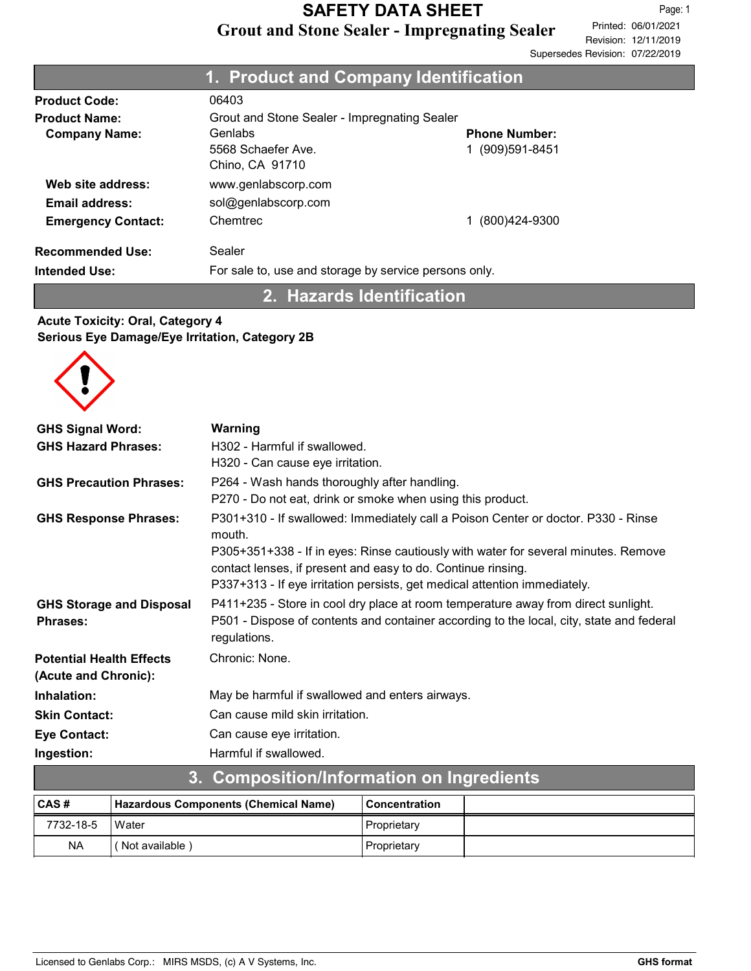|                                                                  | 1. Product and Company Identification                                                            |                                          |
|------------------------------------------------------------------|--------------------------------------------------------------------------------------------------|------------------------------------------|
| <b>Product Code:</b>                                             | 06403                                                                                            |                                          |
| <b>Product Name:</b><br><b>Company Name:</b>                     | Grout and Stone Sealer - Impregnating Sealer<br>Genlabs<br>5568 Schaefer Ave.<br>Chino, CA 91710 | <b>Phone Number:</b><br>1 (909) 591-8451 |
| Web site address:<br>Email address:<br><b>Emergency Contact:</b> | www.genlabscorp.com<br>sol@genlabscorp.com<br>Chemtrec                                           | (800)424-9300                            |
| <b>Recommended Use:</b><br><b>Intended Use:</b>                  | Sealer<br>For sale to, use and storage by service persons only.                                  |                                          |

2. Hazards Identification

### Acute Toxicity: Oral, Category 4 Serious Eye Damage/Eye Irritation, Category 2B



| <b>GHS Signal Word:</b>         | Warning                                                                                                                                            |
|---------------------------------|----------------------------------------------------------------------------------------------------------------------------------------------------|
| <b>GHS Hazard Phrases:</b>      | H302 - Harmful if swallowed.                                                                                                                       |
|                                 | H320 - Can cause eye irritation.                                                                                                                   |
| <b>GHS Precaution Phrases:</b>  | P264 - Wash hands thoroughly after handling.                                                                                                       |
|                                 | P270 - Do not eat, drink or smoke when using this product.                                                                                         |
| <b>GHS Response Phrases:</b>    | P301+310 - If swallowed: Immediately call a Poison Center or doctor. P330 - Rinse<br>mouth.                                                        |
|                                 | P305+351+338 - If in eyes: Rinse cautiously with water for several minutes. Remove<br>contact lenses, if present and easy to do. Continue rinsing. |
|                                 | P337+313 - If eye irritation persists, get medical attention immediately.                                                                          |
| <b>GHS Storage and Disposal</b> | P411+235 - Store in cool dry place at room temperature away from direct sunlight.                                                                  |
| <b>Phrases:</b>                 | P501 - Dispose of contents and container according to the local, city, state and federal                                                           |
|                                 | regulations.                                                                                                                                       |
| <b>Potential Health Effects</b> | Chronic: None.                                                                                                                                     |
| (Acute and Chronic):            |                                                                                                                                                    |
| Inhalation:                     | May be harmful if swallowed and enters airways.                                                                                                    |
| <b>Skin Contact:</b>            | Can cause mild skin irritation.                                                                                                                    |
| <b>Eye Contact:</b>             | Can cause eye irritation.                                                                                                                          |
| Ingestion:                      | Harmful if swallowed.                                                                                                                              |
|                                 | 2 Campacition/Information on Ingradiante                                                                                                           |

| 3. COMPOSITION/INTO/INDUCTION ON INQUESTION |                                      |                 |  |  |
|---------------------------------------------|--------------------------------------|-----------------|--|--|
| ∣CAS #                                      | Hazardous Components (Chemical Name) | l Concentration |  |  |
| 7732-18-5                                   | Water                                | Proprietary     |  |  |
| <b>NA</b>                                   | (Not available)                      | Proprietary     |  |  |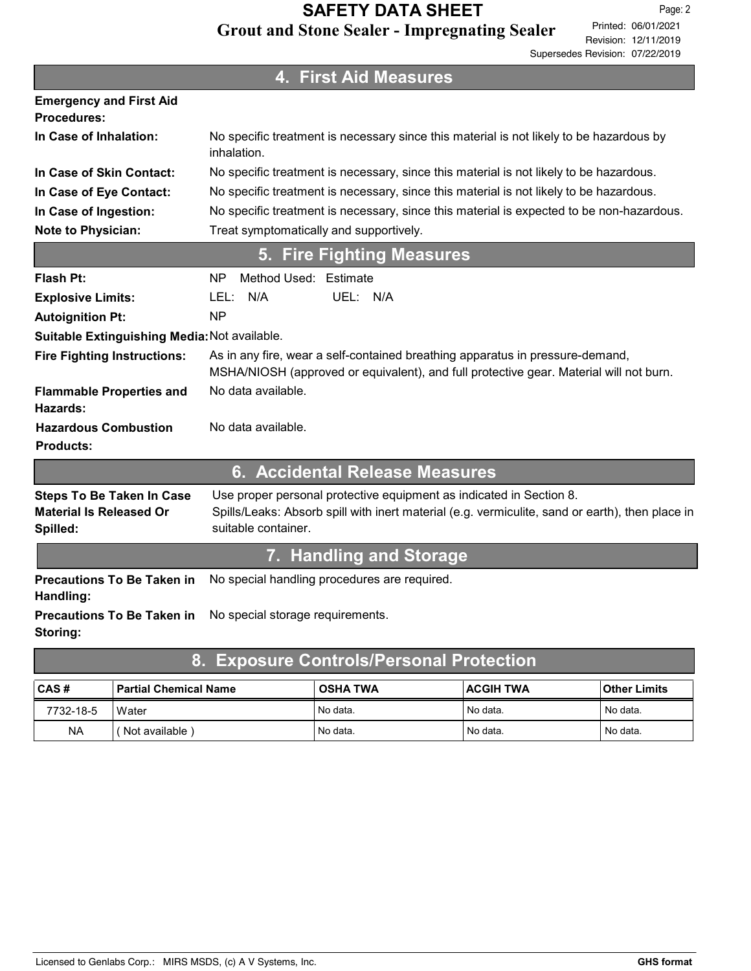|                                                                                | 4. First Aid Measures                                                                                                                                                                         |
|--------------------------------------------------------------------------------|-----------------------------------------------------------------------------------------------------------------------------------------------------------------------------------------------|
| <b>Emergency and First Aid</b><br><b>Procedures:</b>                           |                                                                                                                                                                                               |
| In Case of Inhalation:                                                         | No specific treatment is necessary since this material is not likely to be hazardous by<br>inhalation.                                                                                        |
| In Case of Skin Contact:                                                       | No specific treatment is necessary, since this material is not likely to be hazardous.                                                                                                        |
| In Case of Eye Contact:                                                        | No specific treatment is necessary, since this material is not likely to be hazardous.                                                                                                        |
| In Case of Ingestion:                                                          | No specific treatment is necessary, since this material is expected to be non-hazardous.                                                                                                      |
| <b>Note to Physician:</b>                                                      | Treat symptomatically and supportively.                                                                                                                                                       |
|                                                                                | <b>Fire Fighting Measures</b><br>5.                                                                                                                                                           |
| Flash Pt:                                                                      | Method Used: Estimate<br>ΝP                                                                                                                                                                   |
| <b>Explosive Limits:</b>                                                       | N/A<br>UEL: N/A<br>LEL:                                                                                                                                                                       |
| <b>Autoignition Pt:</b>                                                        | <b>NP</b>                                                                                                                                                                                     |
| Suitable Extinguishing Media: Not available.                                   |                                                                                                                                                                                               |
| <b>Fire Fighting Instructions:</b>                                             | As in any fire, wear a self-contained breathing apparatus in pressure-demand,<br>MSHA/NIOSH (approved or equivalent), and full protective gear. Material will not burn.                       |
| <b>Flammable Properties and</b><br>Hazards:                                    | No data available.                                                                                                                                                                            |
| <b>Hazardous Combustion</b><br><b>Products:</b>                                | No data available.                                                                                                                                                                            |
|                                                                                | 6. Accidental Release Measures                                                                                                                                                                |
| <b>Steps To Be Taken In Case</b><br><b>Material Is Released Or</b><br>Spilled: | Use proper personal protective equipment as indicated in Section 8.<br>Spills/Leaks: Absorb spill with inert material (e.g. vermiculite, sand or earth), then place in<br>suitable container. |
|                                                                                | 7. Handling and Storage                                                                                                                                                                       |
| <b>Precautions To Be Taken in</b><br>Handling:                                 | No special handling procedures are required.                                                                                                                                                  |
| <b>Precautions To Be Taken in</b><br>Storing:                                  | No special storage requirements.                                                                                                                                                              |
| 8.                                                                             | <b>Exposure Controls/Personal Protection</b>                                                                                                                                                  |
|                                                                                |                                                                                                                                                                                               |

| CAS#      | ' Partial Chemical Name | <b>OSHA TWA</b> | <b>ACGIH TWA</b> | Other Limits |
|-----------|-------------------------|-----------------|------------------|--------------|
| 7732-18-5 | Water                   | ' No data.      | l No data.       | No data.     |
| NA        | Not available           | ' No data.      | l No data.       | No data.     |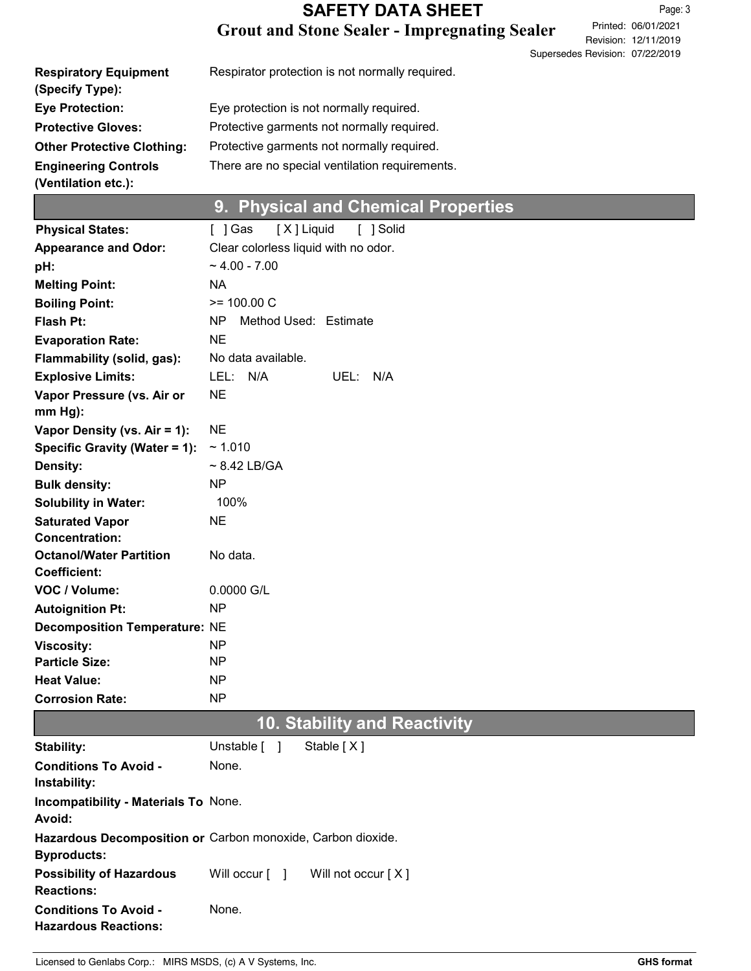# Grout and Stone Sealer - Impregnating Sealer SAFETY DATA SHEET

Revision: 12/11/2019 Printed: 06/01/2021 Page: 3 Supersedes Revision: 07/22/2019

| <b>Respiratory Equipment</b><br>(Specify Type):    | Respirator protection is not normally required. |
|----------------------------------------------------|-------------------------------------------------|
| <b>Eye Protection:</b>                             | Eye protection is not normally required.        |
| <b>Protective Gloves:</b>                          | Protective garments not normally required.      |
| <b>Other Protective Clothing:</b>                  | Protective garments not normally required.      |
| <b>Engineering Controls</b><br>(Ventilation etc.): | There are no special ventilation requirements.  |

# 9. Physical and Chemical Properties

| <b>Physical States:</b>                                     | [X] Liquid<br>[ ] Solid<br>[ ] Gas                          |
|-------------------------------------------------------------|-------------------------------------------------------------|
| <b>Appearance and Odor:</b>                                 | Clear colorless liquid with no odor.                        |
| pH:                                                         | $~1.00 - 7.00$                                              |
| <b>Melting Point:</b>                                       | <b>NA</b>                                                   |
| <b>Boiling Point:</b>                                       | $>= 100.00 C$                                               |
| <b>Flash Pt:</b>                                            | NP<br>Method Used: Estimate                                 |
| <b>Evaporation Rate:</b>                                    | NE.                                                         |
| Flammability (solid, gas):                                  | No data available.                                          |
| <b>Explosive Limits:</b>                                    | N/A<br>LEL:<br>UEL: N/A                                     |
| Vapor Pressure (vs. Air or                                  | <b>NE</b>                                                   |
| $mm Hg$ :                                                   |                                                             |
| Vapor Density (vs. Air = 1):                                | <b>NE</b>                                                   |
| Specific Gravity (Water = 1):                               | ~1.010                                                      |
| Density:                                                    | $\sim$ 8.42 LB/GA                                           |
| <b>Bulk density:</b>                                        | <b>NP</b>                                                   |
| <b>Solubility in Water:</b>                                 | 100%                                                        |
| <b>Saturated Vapor</b>                                      | <b>NE</b>                                                   |
| <b>Concentration:</b>                                       |                                                             |
| <b>Octanol/Water Partition</b>                              | No data.                                                    |
| <b>Coefficient:</b>                                         |                                                             |
| VOC / Volume:                                               | 0.0000 G/L                                                  |
| <b>Autoignition Pt:</b>                                     | NP                                                          |
| <b>Decomposition Temperature: NE</b>                        |                                                             |
| <b>Viscosity:</b>                                           | NP                                                          |
| <b>Particle Size:</b>                                       | NP                                                          |
| <b>Heat Value:</b>                                          | NP                                                          |
| <b>Corrosion Rate:</b>                                      | <b>NP</b>                                                   |
|                                                             | <b>10. Stability and Reactivity</b>                         |
| <b>Stability:</b>                                           | Unstable [ ]<br>Stable [X]                                  |
| <b>Conditions To Avoid -</b><br>Instability:                | None.                                                       |
| Incompatibility - Materials To None.<br>Avoid:              |                                                             |
| <b>Byproducts:</b>                                          | Hazardous Decomposition or Carbon monoxide, Carbon dioxide. |
| <b>Possibility of Hazardous</b><br><b>Reactions:</b>        | Will occur [ ]<br>Will not occur [X]                        |
| <b>Conditions To Avoid -</b><br><b>Hazardous Reactions:</b> | None.                                                       |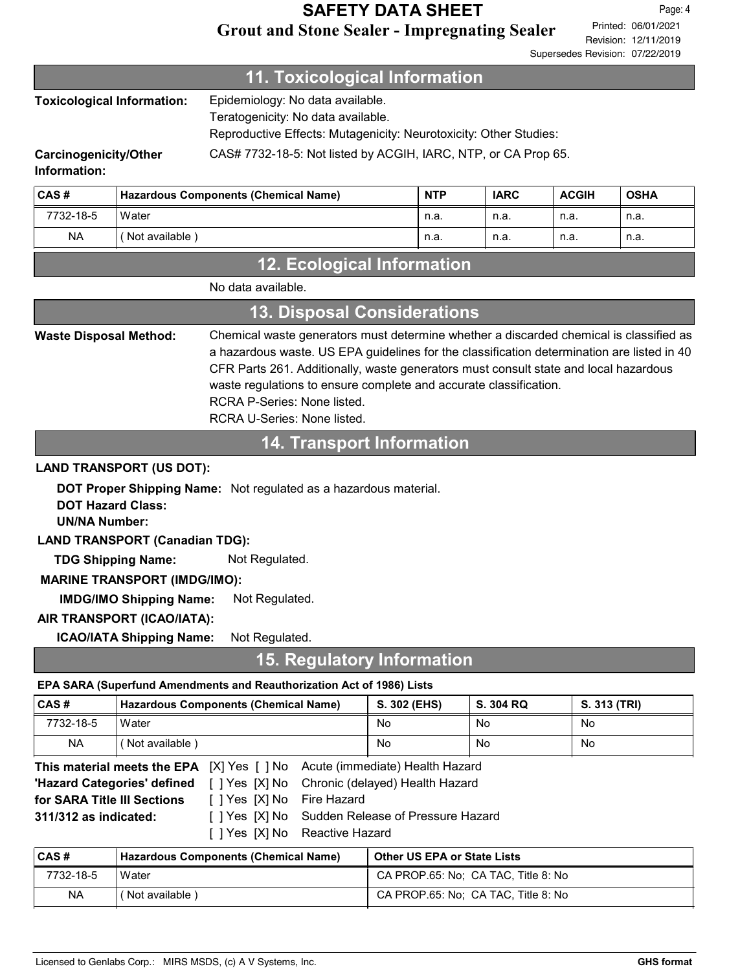### Grout and Stone Sealer - Impregnating Sealer SAFETY DATA SHEET

Revision: 12/11/2019 Printed: 06/01/2021 Page: 4 Supersedes Revision: 07/22/2019

### 11. Toxicological Information

| Toxicological Information: | Epidemiology: No data available.<br>Teratogenicity: No data available.<br>Reproductive Effects: Mutagenicity: Neurotoxicity: Other Studies: |
|----------------------------|---------------------------------------------------------------------------------------------------------------------------------------------|
| Carcinogenicity/Other      | CAS# 7732-18-5: Not listed by ACGIH, IARC, NTP, or CA Prop 65.                                                                              |

#### Information:

| CAS#      | Hazardous Components (Chemical Name) | <b>NTP</b> | <b>IARC</b> | <b>ACGIH</b> | <b>OSHA</b> |
|-----------|--------------------------------------|------------|-------------|--------------|-------------|
| 7732-18-5 | Water                                | n.a.       | n.a.        | n.a.         | n.a.        |
| <b>NA</b> | Not available)                       | n.a.       | n.a.        | n.a.         | n.a.        |

## 12. Ecological Information

| <b>13. Disposal Considerations</b> |                                                                                                                                                                                                                                                                                                                                                                                                                 |  |  |  |
|------------------------------------|-----------------------------------------------------------------------------------------------------------------------------------------------------------------------------------------------------------------------------------------------------------------------------------------------------------------------------------------------------------------------------------------------------------------|--|--|--|
| <b>Waste Disposal Method:</b>      | Chemical waste generators must determine whether a discarded chemical is classified as<br>a hazardous waste. US EPA guidelines for the classification determination are listed in 40<br>CFR Parts 261. Additionally, waste generators must consult state and local hazardous<br>waste regulations to ensure complete and accurate classification.<br>RCRA P-Series: None listed.<br>RCRA U-Series: None listed. |  |  |  |

### 14. Transport Information

#### LAND TRANSPORT (US DOT):

DOT Proper Shipping Name: Not regulated as a hazardous material.

DOT Hazard Class:

UN/NA Number:

LAND TRANSPORT (Canadian TDG):

TDG Shipping Name: Not Regulated.

#### MARINE TRANSPORT (IMDG/IMO):

IMDG/IMO Shipping Name: Not Regulated.

#### AIR TRANSPORT (ICAO/IATA):

ICAO/IATA Shipping Name: Not Regulated.

### 15. Regulatory Information

#### EPA SARA (Superfund Amendments and Reauthorization Act of 1986) Lists

| ∣CAS #                                                                         | Hazardous Components (Chemical Name) | S. 302 (EHS) | S. 304 RQ | S. 313 (TRI) |
|--------------------------------------------------------------------------------|--------------------------------------|--------------|-----------|--------------|
| 7732-18-5                                                                      | Water                                | No           | No        | No           |
| <b>NA</b>                                                                      | (Not available)                      | No           | No        | No           |
| IXIVes I INo<br>Acute (immediate) Health Hazard<br>This material moots the FDA |                                      |              |           |              |

|                             |                            | <b>This material meets the EPA</b> [X] Yes [ ] No Acute (immediate) Health Hazard |
|-----------------------------|----------------------------|-----------------------------------------------------------------------------------|
|                             |                            | <b>'Hazard Categories' defined</b> [ ] Yes [X] No Chronic (delayed) Health Hazard |
| for SARA Title III Sections | [ ] Yes [X] No Fire Hazard |                                                                                   |
| $311/312$ as indicated:     |                            | [ ] Yes [X] No Sudden Release of Pressure Hazard                                  |
|                             |                            | [ ] Yes [X] No Reactive Hazard                                                    |

| CAS#      | Hazardous Components (Chemical Name) | <b>Other US EPA or State Lists</b>  |
|-----------|--------------------------------------|-------------------------------------|
| 7732-18-5 | Water                                | CA PROP.65: No: CA TAC. Title 8: No |
| <b>NA</b> | Not available)                       | CA PROP.65: No: CA TAC, Title 8: No |